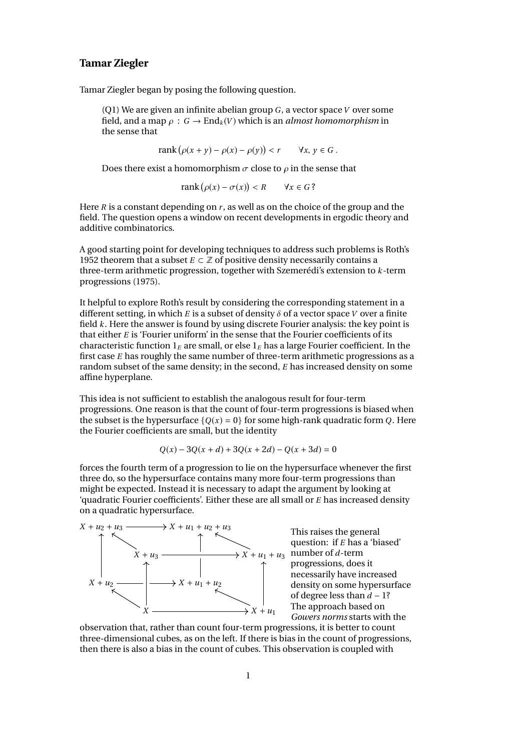## **Tamar Ziegler**

Tamar Ziegler began by posing the following question.

(Q1) We are given an infinite abelian group *G*, a vector space*V* over some field, and a map  $\rho : G \to \text{End}_k(V)$  which is an *almost homomorphism* in the sense that

> $rank(\rho(x + y) - \rho(x) - \rho(y))$  $\langle r \rangle$   $\forall x, y \in G$ .

Does there exist a homomorphism  $\sigma$  close to  $\rho$  in the sense that

$$
rank(\rho(x) - \sigma(x)) < R \quad \forall x \in G?
$$

Here *R* is a constant depending on *r* , as well as on the choice of the group and the field. The question opens a window on recent developments in ergodic theory and additive combinatorics.

A good starting point for developing techniques to address such problems is Roth's 1952 theorem that a subset  $E \subset \mathbb{Z}$  of positive density necessarily contains a three-term arithmetic progression, together with Szemerédi's extension to *k*-term progressions (1975).

It helpful to explore Roth's result by considering the corresponding statement in a different setting, in which *E* is a subset of density  $\delta$  of a vector space *V* over a finite field *k*. Here the answer is found by using discrete Fourier analysis: the key point is that either *E* is 'Fourier uniform' in the sense that the Fourier coefficients of its characteristic function  $1_F$  are small, or else  $1_F$  has a large Fourier coefficient. In the first case *E* has roughly the same number of three-term arithmetic progressions as a random subset of the same density; in the second, *E* has increased density on some affine hyperplane.

This idea is not sufficient to establish the analogous result for four-term progressions. One reason is that the count of four-term progressions is biased when the subset is the hypersurface  $\{Q(x) = 0\}$  for some high-rank quadratic form *Q*. Here the Fourier coefficients are small, but the identity

$$
Q(x) - 3Q(x + d) + 3Q(x + 2d) - Q(x + 3d) = 0
$$

forces the fourth term of a progression to lie on the hypersurface whenever the first three do, so the hypersurface contains many more four-term progressions than might be expected. Instead it is necessary to adapt the argument by looking at 'quadratic Fourier coefficients'. Either these are all small or *E* has increased density on a quadratic hypersurface.



This raises the general question: if *E* has a 'biased' number of *d*-term progressions, does it necessarily have increased density on some hypersurface of degree less than *d* − 1? The approach based on *Gowers norms* starts with the

observation that, rather than count four-term progressions, it is better to count three-dimensional cubes, as on the left. If there is bias in the count of progressions, then there is also a bias in the count of cubes. This observation is coupled with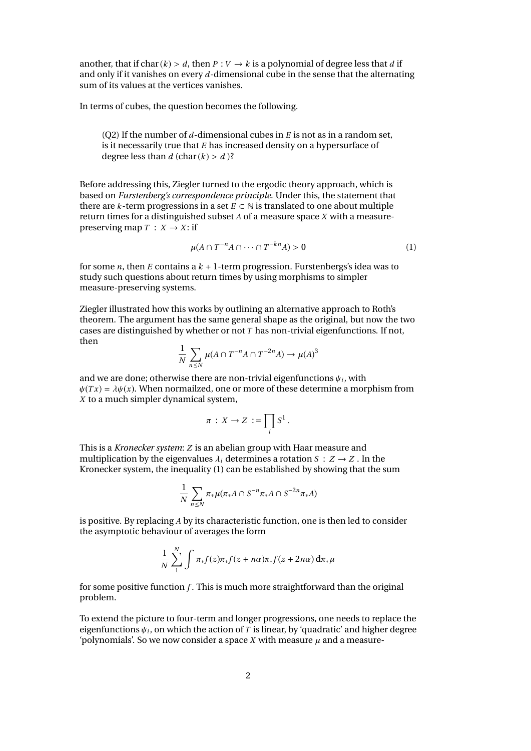another, that if char( $k$ ) > *d*, then *P* :  $V \rightarrow k$  is a polynomial of degree less that *d* if and only if it vanishes on every *d*-dimensional cube in the sense that the alternating sum of its values at the vertices vanishes.

In terms of cubes, the question becomes the following.

(Q2) If the number of *d*-dimensional cubes in *E* is not as in a random set, is it necessarily true that *E* has increased density on a hypersurface of degree less than  $d$  (char( $k$ ) >  $d$ )?

Before addressing this, Ziegler turned to the ergodic theory approach, which is based on *Furstenberg's correspondence principle*. Under this, the statement that there are *k*-term progressions in a set  $E \subset \mathbb{N}$  is translated to one about multiple return times for a distinguished subset *A* of a measure space *X* with a measurepreserving map  $T : X \rightarrow X$ : if

$$
\mu(A \cap T^{-n}A \cap \dots \cap T^{-kn}A) > 0 \tag{1}
$$

for some *n*, then *E* contains a  $k + 1$ -term progression. Furstenbergs's idea was to study such questions about return times by using morphisms to simpler measure-preserving systems.

Ziegler illustrated how this works by outlining an alternative approach to Roth's theorem. The argument has the same general shape as the original, but now the two cases are distinguished by whether or not *T* has non-trivial eigenfunctions. If not, then

$$
\frac{1}{N} \sum_{n \le N} \mu(A \cap T^{-n}A \cap T^{-2n}A) \to \mu(A)^3
$$

and we are done; otherwise there are non-trivial eigenfunctions  $\psi_i$ , with  $\psi(x) = \lambda \psi(x)$ . When normalized, one or more of these determine a more  $\psi(Tx) = \lambda \psi(x)$ . When normailzed, one or more of these determine a morphism from *X* to a much simpler dynamical system,

$$
\pi: X \to Z := \prod_i S^1.
$$

This is a *Kronecker system*: *Z* is an abelian group with Haar measure and multiplication by the eigenvalues  $\lambda_i$  determines a rotation  $S: Z \rightarrow Z$ . In the Kronecker system, the inequality (1) can be established by showing that the sum

$$
\frac{1}{N}\sum_{n\leq N}\pi_{*}\mu(\pi_{*}A\cap S^{-n}\pi_{*}A\cap S^{-2n}\pi_{*}A)
$$

is positive. By replacing *A* by its characteristic function, one is then led to consider the asymptotic behaviour of averages the form

$$
\frac{1}{N}\sum_{1}^{N}\int \pi_{*}f(z)\pi_{*}f(z+n\alpha)\pi_{*}f(z+2n\alpha)\,d\pi_{*}\mu
$$

for some positive function *f* . This is much more straightforward than the original problem.

To extend the picture to four-term and longer progressions, one needs to replace the eigenfunctions  $\psi_i$ , on which the action of *T* is linear, by 'quadratic' and higher degree<br>'nolynomials'. So we now consider a space *X* with measure *u* and a measure-'polynomials'. So we now consider a space *X* with measure  $\mu$  and a measure